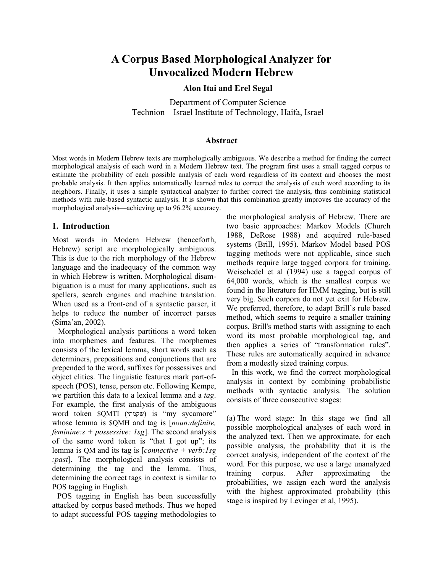# **A Corpus Based Morphological Analyzer for Unvocalized Modern Hebrew**

#### **Alon Itai and Erel Segal**

Department of Computer Science Technion—Israel Institute of Technology, Haifa, Israel

#### **Abstract**

Most words in Modern Hebrew texts are morphologically ambiguous. We describe a method for finding the correct morphological analysis of each word in a Modern Hebrew text. The program first uses a small tagged corpus to estimate the probability of each possible analysis of each word regardless of its context and chooses the most probable analysis. It then applies automatically learned rules to correct the analysis of each word according to its neighbors. Finally, it uses a simple syntactical analyzer to further correct the analysis, thus combining statistical methods with rule-based syntactic analysis. It is shown that this combination greatly improves the accuracy of the morphological analysis—achieving up to 96.2% accuracy.

#### **1. Introduction**

Most words in Modern Hebrew (henceforth, Hebrew) script are morphologically ambiguous. This is due to the rich morphology of the Hebrew language and the inadequacy of the common way in which Hebrew is written. Morphological disambiguation is a must for many applications, such as spellers, search engines and machine translation. When used as a front-end of a syntactic parser, it helps to reduce the number of incorrect parses (Sima'an, 2002).

 Morphological analysis partitions a word token into morphemes and features. The morphemes consists of the lexical lemma, short words such as determiners, prepositions and conjunctions that are prepended to the word, suffixes for possessives and object clitics. The linguistic features mark part-ofspeech (POS), tense, person etc. Following Kempe, we partition this data to a lexical lemma and a *tag*. For example, the first analysis of the ambiguous word token \$QMTI (שקמתי) is "my sycamore" whose lemma is \$QMH and tag is [*noun:definite, feminine:s + possessive: 1sg*]. The second analysis of the same word token is "that I got up"; its lemma is QM and its tag is [*connective + verb:1sg :past*]. The morphological analysis consists of determining the tag and the lemma. Thus, determining the correct tags in context is similar to POS tagging in English.

POS tagging in English has been successfully attacked by corpus based methods. Thus we hoped to adapt successful POS tagging methodologies to the morphological analysis of Hebrew. There are two basic approaches: Markov Models (Church 1988, DeRose 1988) and acquired rule-based systems (Brill, 1995). Markov Model based POS tagging methods were not applicable, since such methods require large tagged corpora for training. Weischedel et al (1994) use a tagged corpus of 64,000 words, which is the smallest corpus we found in the literature for HMM tagging, but is still very big. Such corpora do not yet exit for Hebrew. We preferred, therefore, to adapt Brill's rule based method, which seems to require a smaller training corpus. Brill's method starts with assigning to each word its most probable morphological tag, and then applies a series of "transformation rules". These rules are automatically acquired in advance from a modestly sized training corpus.

In this work, we find the correct morphological analysis in context by combining probabilistic methods with syntactic analysis. The solution consists of three consecutive stages:

(a) The word stage: In this stage we find all possible morphological analyses of each word in the analyzed text. Then we approximate, for each possible analysis, the probability that it is the correct analysis, independent of the context of the word. For this purpose, we use a large unanalyzed training corpus. After approximating the probabilities, we assign each word the analysis with the highest approximated probability (this stage is inspired by Levinger et al, 1995).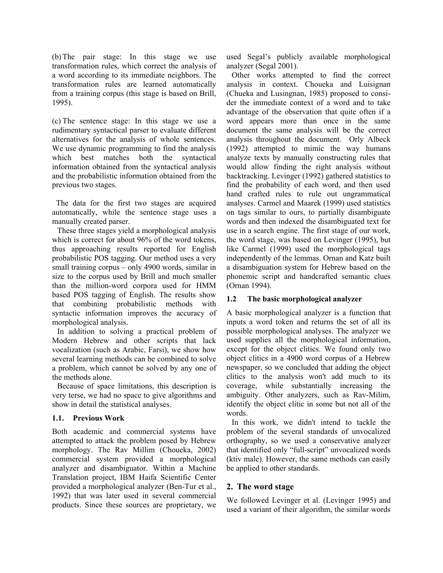(b) The pair stage: In this stage we use transformation rules, which correct the analysis of a word according to its immediate neighbors. The transformation rules are learned automatically from a training corpus (this stage is based on Brill, 1995).

(c) The sentence stage: In this stage we use a rudimentary syntactical parser to evaluate different alternatives for the analysis of whole sentences. We use dynamic programming to find the analysis which best matches both the syntactical information obtained from the syntactical analysis and the probabilistic information obtained from the previous two stages.

 The data for the first two stages are acquired automatically, while the sentence stage uses a manually created parser.

These three stages yield a morphological analysis which is correct for about 96% of the word tokens, thus approaching results reported for English probabilistic POS tagging. Our method uses a very small training corpus – only 4900 words, similar in size to the corpus used by Brill and much smaller than the million-word corpora used for HMM based POS tagging of English. The results show that combining probabilistic methods with syntactic information improves the accuracy of morphological analysis.

In addition to solving a practical problem of Modern Hebrew and other scripts that lack vocalization (such as Arabic, Farsi), we show how several learning methods can be combined to solve a problem, which cannot be solved by any one of the methods alone.

Because of space limitations, this description is very terse, we had no space to give algorithms and show in detail the statistical analyses.

## **1.1. Previous Work**

Both academic and commercial systems have attempted to attack the problem posed by Hebrew morphology. The Rav Millim (Choueka, 2002) commercial system provided a morphological analyzer and disambiguator. Within a Machine Translation project, IBM Haifa Scientific Center provided a morphological analyzer (Ben-Tur et al., 1992) that was later used in several commercial products. Since these sources are proprietary, we used Segal's publicly available morphological analyzer (Segal 2001).

Other works attempted to find the correct analysis in context. Choueka and Luisignan (Chueka and Lusingnan, 1985) proposed to consider the immediate context of a word and to take advantage of the observation that quite often if a word appears more than once in the same document the same analysis will be the correct analysis throughout the document. Orly Albeck (1992) attempted to mimic the way humans analyze texts by manually constructing rules that would allow finding the right analysis without backtracking. Levinger (1992) gathered statistics to find the probability of each word, and then used hand crafted rules to rule out ungrammatical analyses. Carmel and Maarek (1999) used statistics on tags similar to ours, to partially disambiguate words and then indexed the disambiguated text for use in a search engine. The first stage of our work, the word stage, was based on Levinger (1995), but like Carmel (1999) used the morphological tags independently of the lemmas. Ornan and Katz built a disambiguation system for Hebrew based on the phonemic script and handcrafted semantic clues (Ornan 1994).

#### **1.2 The basic morphological analyzer**

A basic morphological analyzer is a function that inputs a word token and returns the set of all its possible morphological analyses. The analyzer we used supplies all the morphological information, except for the object clitics. We found only two object clitics in a 4900 word corpus of a Hebrew newspaper, so we concluded that adding the object clitics to the analysis won't add much to its coverage, while substantially increasing the ambiguity. Other analyzers, such as Rav-Milim, identify the object clitic in some but not all of the words.

In this work, we didn't intend to tackle the problem of the several standards of unvocalized orthography, so we used a conservative analyzer that identified only "full-script" unvocalized words (ktiv male). However, the same methods can easily be applied to other standards.

## **2. The word stage**

We followed Levinger et al. (Levinger 1995) and used a variant of their algorithm, the similar words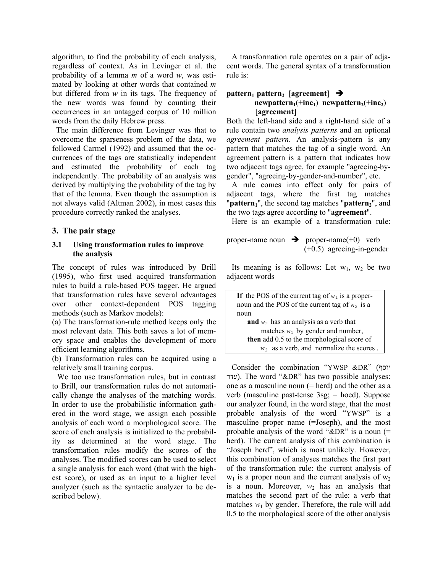algorithm, to find the probability of each analysis, regardless of context. As in Levinger et al. the probability of a lemma *m* of a word *w*, was estimated by looking at other words that contained *m* but differed from *w* in its tags. The frequency of the new words was found by counting their occurrences in an untagged corpus of 10 million words from the daily Hebrew press.

 The main difference from Levinger was that to overcome the sparseness problem of the data, we followed Carmel (1992) and assumed that the occurrences of the tags are statistically independent and estimated the probability of each tag independently. The probability of an analysis was derived by multiplying the probability of the tag by that of the lemma. Even though the assumption is not always valid (Altman 2002), in most cases this procedure correctly ranked the analyses.

## **3. The pair stage**

#### **3.1 Using transformation rules to improve the analysis**

The concept of rules was introduced by Brill (1995), who first used acquired transformation rules to build a rule-based POS tagger. He argued that transformation rules have several advantages over other context-dependent POS tagging methods (such as Markov models):

(a) The transformation-rule method keeps only the most relevant data. This both saves a lot of memory space and enables the development of more efficient learning algorithms.

(b) Transformation rules can be acquired using a relatively small training corpus.

We too use transformation rules, but in contrast to Brill, our transformation rules do not automatically change the analyses of the matching words. In order to use the probabilistic information gathered in the word stage, we assign each possible analysis of each word a morphological score. The score of each analysis is initialized to the probability as determined at the word stage. The transformation rules modify the scores of the analyses. The modified scores can be used to select a single analysis for each word (that with the highest score), or used as an input to a higher level analyzer (such as the syntactic analyzer to be described below).

A transformation rule operates on a pair of adjacent words. The general syntax of a transformation rule is:

#### **pattern**<sub>1</sub> **pattern**<sub>2</sub> [**agreement**]  $\rightarrow$  $newpattern_1(+inc_1)$  **newpattern**<sub>2</sub>(+**inc**<sub>2</sub>) [**agreement**]

Both the left-hand side and a right-hand side of a rule contain two *analysis patterns* and an optional *agreement pattern*. An analysis-pattern is any pattern that matches the tag of a single word. An agreement pattern is a pattern that indicates how two adjacent tags agree, for example "agreeing-bygender", "agreeing-by-gender-and-number", etc.

A rule comes into effect only for pairs of adjacent tags, where the first tag matches "**pattern**<sup>"</sup>, the second tag matches "**pattern**<sub>2</sub>", and the two tags agree according to "**agreement**".

Here is an example of a transformation rule:

proper-name noun Î proper-name(+0) verb (+0.5) agreeing-in-gender

Its meaning is as follows: Let  $w_1$ ,  $w_2$  be two adjacent words

| If the POS of the current tag of $w_1$ is a proper- |  |  |  |  |
|-----------------------------------------------------|--|--|--|--|
| noun and the POS of the current tag of $w_2$ is a   |  |  |  |  |
| noun                                                |  |  |  |  |
| <b>and</b> $w_2$ has an analysis as a verb that     |  |  |  |  |
| matches $w_1$ by gender and number,                 |  |  |  |  |
| then add 0.5 to the morphological score of          |  |  |  |  |
| $w_2$ as a verb, and normalize the scores.          |  |  |  |  |

Consider the combination "YWSP &DR" (יוסף עדר). The word "&DR" has two possible analyses: one as a masculine noun  $(= \text{herd})$  and the other as a verb (masculine past-tense 3sg; = hoed). Suppose our analyzer found, in the word stage, that the most probable analysis of the word "YWSP" is a masculine proper name (=Joseph), and the most probable analysis of the word " $\&$ DR" is a noun (= herd). The current analysis of this combination is "Joseph herd", which is most unlikely. However, this combination of analyses matches the first part of the transformation rule: the current analysis of  $w_1$  is a proper noun and the current analysis of  $w_2$ is a noun. Moreover,  $w_2$  has an analysis that matches the second part of the rule: a verb that matches  $w_1$  by gender. Therefore, the rule will add 0.5 to the morphological score of the other analysis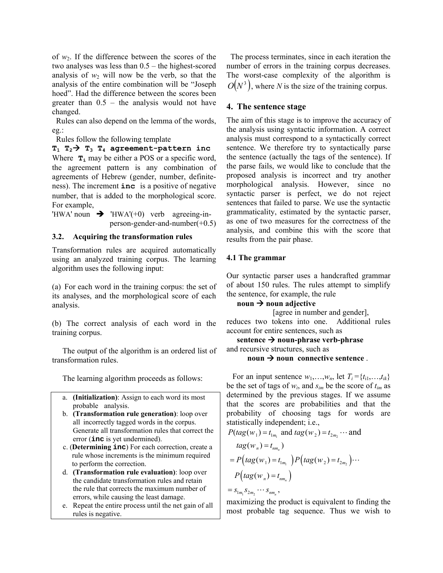of  $w_2$ . If the difference between the scores of the two analyses was less than 0.5 – the highest-scored analysis of  $w_2$  will now be the verb, so that the analysis of the entire combination will be "Joseph hoed". Had the difference between the scores been greater than 0.5 – the analysis would not have changed.

 Rules can also depend on the lemma of the words, eg.:

Rules follow the following template

# $T_1$   $T_2$  $\rightarrow$   $T_3$   $T_4$  agreement-pattern inc

Where  $\mathbf{T}_i$  may be either a POS or a specific word, the agreement pattern is any combination of agreements of Hebrew (gender, number, definiteness). The increment **inc** is a positive of negative number, that is added to the morphological score. For example,

'HWA' noun  $\rightarrow$  'HWA'(+0) verb agreeing-inperson-gender-and-number(+0.5)

## **3.2. Acquiring the transformation rules**

Transformation rules are acquired automatically using an analyzed training corpus. The learning algorithm uses the following input:

(a) For each word in the training corpus: the set of its analyses, and the morphological score of each analysis.

(b) The correct analysis of each word in the training corpus.

 The output of the algorithm is an ordered list of transformation rules.

The learning algorithm proceeds as follows:

- a. **(Initialization)**: Assign to each word its most probable analysis.
- b. **(Transformation rule generation)**: loop over all incorrectly tagged words in the corpus. Generate all transformation rules that correct the error (**inc** is yet undermined).
- c. (**Determining inc**) For each correction, create a rule whose increments is the minimum required to perform the correction.
- d. **(Transformation rule evaluation)**: loop over the candidate transformation rules and retain the rule that corrects the maximum number of errors, while causing the least damage.
- e. Repeat the entire process until the net gain of all rules is negative.

 The process terminates, since in each iteration the number of errors in the training corpus decreases. The worst-case complexity of the algorithm is  $O(N^3)$ , where *N* is the size of the training corpus.

## **4. The sentence stage**

The aim of this stage is to improve the accuracy of the analysis using syntactic information. A correct analysis must correspond to a syntactically correct sentence. We therefore try to syntactically parse the sentence (actually the tags of the sentence). If the parse fails, we would like to conclude that the proposed analysis is incorrect and try another morphological analysis. However, since no syntactic parser is perfect, we do not reject sentences that failed to parse. We use the syntactic grammaticality, estimated by the syntactic parser, as one of two measures for the correctness of the analysis, and combine this with the score that results from the pair phase.

## **4.1 The grammar**

Our syntactic parser uses a handcrafted grammar of about 150 rules. The rules attempt to simplify the sentence, for example, the rule

# $\mathbf{noun} \rightarrow \mathbf{noun}$  adjective

[agree in number and gender],

reduces two tokens into one. Additional rules account for entire sentences, such as

 $\text{sentence} \rightarrow \text{noun-phrase}$  verb-phrase and recursive structures, such as

#### $\mathbf{noun} \rightarrow \mathbf{noun}$  connective sentence.

For an input sentence  $w_1, \ldots, w_n$ , let  $T_i = \{t_{i1}, \ldots, t_{ik}\}$ be the set of tags of *wi*, and *sim* be the score of *tim* as determined by the previous stages. If we assume that the scores are probabilities and that the probability of choosing tags for words are statistically independent; i.e.,

$$
P(tag(w_1) = t_{1m_1} \text{ and } tag(w_2) = t_{2m_2} \cdots \text{ and}
$$
  
\n
$$
tag(w_n) = t_{nm_n})
$$
  
\n
$$
= P(tag(w_1) = t_{1m_1}) P(tag(w_2) = t_{2m_2}) \cdots
$$
  
\n
$$
P(tag(w_n) = t_{nm_n})
$$
  
\n
$$
= s_{1m_1} s_{2m_2} \cdots s_{nm_n},
$$

maximizing the product is equivalent to finding the most probable tag sequence. Thus we wish to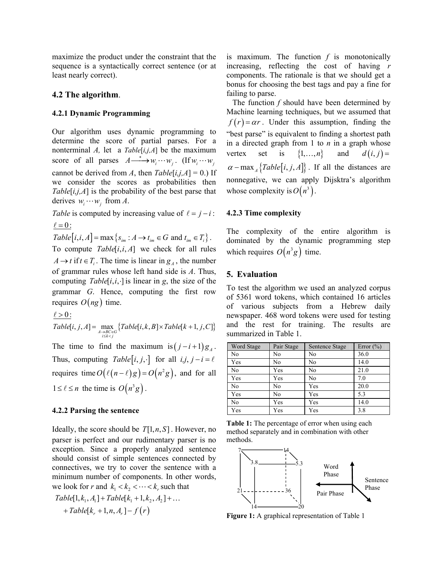maximize the product under the constraint that the sequence is a syntactically correct sentence (or at least nearly correct).

#### **4.2 The algorithm**.

#### **4.2.1 Dynamic Programming**

Our algorithm uses dynamic programming to determine the score of partial parses. For a nonterminal *A,* let a *Table*[*i,j,A*] be the maximum score of all parses  $A \longrightarrow w_i \cdots w_j$ . (If  $w_i \cdots w_j$ cannot be derived from *A*, then  $Table[i,j,A] = 0$ .) If we consider the scores as probabilities then *Table*[*i,j,A*] is the probability of the best parse that derives  $w_i \cdots w_j$  from *A*.

*Table* is computed by increasing value of  $\ell = j - i$ :  $\ell = 0$ :

 $Table[i, i, A] = \max\{s_{im} : A \rightarrow t_{im} \in G \text{ and } t_{im} \in T_i\}.$ 

To compute  $Table[i, i, A]$  we check for all rules  $A \rightarrow t$  if  $t \in T_i$ . The time is linear in  $g_A$ , the number of grammar rules whose left hand side is *A*. Thus, computing  $Table[i, i, \cdot]$  is linear in *g*, the size of the grammar *G*. Hence, computing the first row requires  $O(ng)$  time.

 $\ell > 0$  :

$$
Table[i, j, A] = \max_{\substack{A \to BC \in G \\ i \le k < j}} \{Table[i, k, B] \times Table[k + 1, j, C] \}
$$

The time to find the maximum is $(j - i + 1)g_A$ . Thus, computing *Table*  $[i, j, \cdot]$  for all  $i, j, j - i = \ell$ requires time  $O(\ell (n - \ell)g) = O(n^2 g)$ , and for all  $1 \leq \ell \leq n$  the time is  $O(n^3 g)$ .

#### **4.2.2 Parsing the sentence**

Ideally, the score should be  $T[1, n, S]$ . However, no parser is perfect and our rudimentary parser is no exception. Since a properly analyzed sentence should consist of simple sentences connected by connectives, we try to cover the sentence with a minimum number of components. In other words, we look for *r* and  $k_1 < k_2 < \cdots < k_r$  such that

$$
Table[1, k_1, A_1] + Table[k_1 + 1, k_2, A_2] + ... + Table[k_r + 1, n, A_r] - f(r)
$$

is maximum. The function *f* is monotonically increasing, reflecting the cost of having *r*  components. The rationale is that we should get a bonus for choosing the best tags and pay a fine for failing to parse.

 The function *f* should have been determined by Machine learning techniques, but we assumed that  $f(r) = \alpha r$ . Under this assumption, finding the "best parse" is equivalent to finding a shortest path in a directed graph from 1 to *n* in a graph whose vertex set is  $\{1, ..., n\}$  and  $d(i, j) =$  $\alpha$  – max  $\{Table[i, j, A]\}$ . If all the distances are nonnegative, we can apply Dijsktra's algorithm whose complexity is  $O(n^3)$ .

#### **4.2.3 Time complexity**

The complexity of the entire algorithm is dominated by the dynamic programming step which requires  $O(n^3 g)$  time.

#### **5. Evaluation**

To test the algorithm we used an analyzed corpus of 5361 word tokens, which contained 16 articles of various subjects from a Hebrew daily newspaper. 468 word tokens were used for testing and the rest for training. The results are summarized in Table 1.

| <b>Word Stage</b> | Pair Stage | Sentence Stage | Error $(\% )$ |
|-------------------|------------|----------------|---------------|
| N <sub>0</sub>    | No         | N <sub>0</sub> | 36.0          |
| Yes               | No         | N <sub>0</sub> | 14.0          |
| N <sub>0</sub>    | Yes        | N <sub>0</sub> | 21.0          |
| Yes               | Yes        | No             | 7.0           |
| N <sub>0</sub>    | No         | Yes            | 20.0          |
| Yes               | No         | Yes            | 5.3           |
| N <sub>0</sub>    | Yes        | Yes            | 14.0          |
| Yes               | Yes        | Yes            | 3.8           |

**Table 1:** The percentage of error when using each method separately and in combination with other methods.



**Figure 1:** A graphical representation of Table 1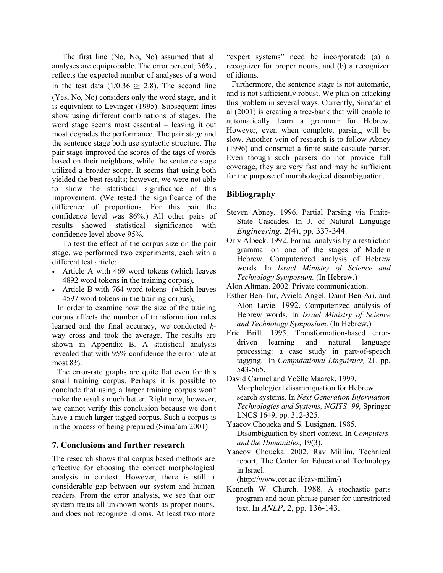The first line (No, No, No) assumed that all analyses are equiprobable. The error percent, 36% , reflects the expected number of analyses of a word in the test data (1/0.36  $\approx$  2.8). The second line (Yes, No, No) considers only the word stage, and it is equivalent to Levinger (1995). Subsequent lines show using different combinations of stages. The word stage seems most essential – leaving it out most degrades the performance. The pair stage and the sentence stage both use syntactic structure. The pair stage improved the scores of the tags of words based on their neighbors, while the sentence stage utilized a broader scope. It seems that using both yielded the best results; however, we were not able to show the statistical significance of this improvement. (We tested the significance of the difference of proportions. For this pair the confidence level was 86%.) All other pairs of results showed statistical significance with confidence level above 95%.

To test the effect of the corpus size on the pair stage, we performed two experiments, each with a different test article:

- Article A with 469 word tokens (which leaves 4892 word tokens in the training corpus),
- Article B with 764 word tokens (which leaves 4597 word tokens in the training corpus),

In order to examine how the size of the training corpus affects the number of transformation rules learned and the final accuracy, we conducted *k*way cross and took the average. The results are shown in Appendix B. A statistical analysis revealed that with 95% confidence the error rate at most 8%.

The error-rate graphs are quite flat even for this small training corpus. Perhaps it is possible to conclude that using a larger training corpus won't make the results much better. Right now, however, we cannot verify this conclusion because we don't have a much larger tagged corpus. Such a corpus is in the process of being prepared (Sima'am 2001).

## **7. Conclusions and further research**

The research shows that corpus based methods are effective for choosing the correct morphological analysis in context. However, there is still a considerable gap between our system and human readers. From the error analysis, we see that our system treats all unknown words as proper nouns, and does not recognize idioms. At least two more "expert systems" need be incorporated: (a) a recognizer for proper nouns, and (b) a recognizer of idioms.

Furthermore, the sentence stage is not automatic, and is not sufficiently robust. We plan on attacking this problem in several ways. Currently, Sima'an et al (2001) is creating a tree-bank that will enable to automatically learn a grammar for Hebrew. However, even when complete, parsing will be slow. Another vein of research is to follow Abney (1996) and construct a finite state cascade parser. Even though such parsers do not provide full coverage, they are very fast and may be sufficient for the purpose of morphological disambiguation.

## **Bibliography**

- Steven Abney. 1996. Partial Parsing via Finite-State Cascades. In J. of Natural Language *Engineering*, 2(4), pp. 337-344.
- Orly Albeck. 1992. Formal analysis by a restriction grammar on one of the stages of Modern Hebrew. Computerized analysis of Hebrew words. In *Israel Ministry of Science and Technology Symposium.* (In Hebrew.)

Alon Altman. 2002. Private communication.

- Esther Ben-Tur, Aviela Angel, Danit Ben-Ari, and Alon Lavie. 1992. Computerized analysis of Hebrew words. In *Israel Ministry of Science and Technology Symposium*. (In Hebrew.)
- Eric Brill. 1995. Transformation-based errordriven learning and natural language processing: a case study in part-of-speech tagging. In *Computational Linguistics,* 21, pp. 543-565.
- David Carmel and Yoëlle Maarek. 1999. Morphological disambiguation for Hebrew search systems. In *Next Generation Information Technologies and Systems, NGITS '99,* Springer LNCS 1649, pp. 312-325.
- Yaacov Choueka and S. Lusignan. 1985. Disambiguation by short context. In *Computers and the Humanities*, 19(3).
- Yaacov Choueka. 2002. Rav Millim. Technical report, The Center for Educational Technology in Israel.

(http://www.cet.ac.il/rav-milim/)

Kenneth W. Church. 1988. A stochastic parts program and noun phrase parser for unrestricted text. In *ANLP*, 2, pp. 136-143.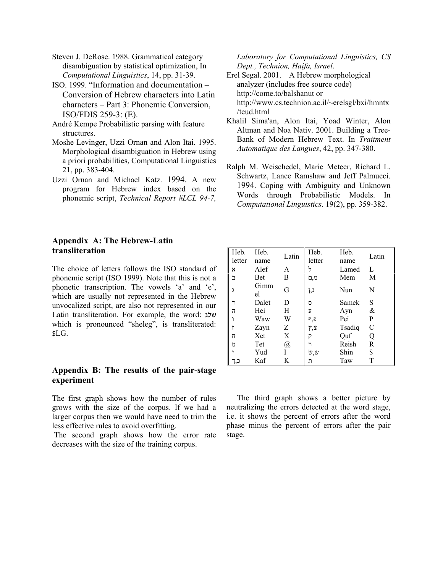Steven J. DeRose. 1988. Grammatical category disambiguation by statistical optimization, In *Computational Linguistics*, 14, pp. 31-39.

ISO. 1999. "Information and documentation – Conversion of Hebrew characters into Latin characters – Part 3: Phonemic Conversion, ISO/FDIS 259-3: (E).

André Kempe Probabilistic parsing with feature structures.

- Moshe Levinger, Uzzi Ornan and Alon Itai. 1995. Morphological disambiguation in Hebrew using a priori probabilities, Computational Linguistics 21, pp. 383-404.
- Uzzi Ornan and Michael Katz. 1994. A new program for Hebrew index based on the phonemic script, *Technical Report #LCL 94-7,*

**Appendix A: The Hebrew-Latin transliteration** 

The choice of letters follows the ISO standard of phonemic script (ISO 1999). Note that this is not a phonetic transcription. The vowels 'a' and 'e', which are usually not represented in the Hebrew unvocalized script, are also not represented in our Latin transliteration. For example, the word: שלג which is pronounced "sheleg", is transliterated: \$LG.

## **Appendix B: The results of the pair-stage experiment**

The first graph shows how the number of rules grows with the size of the corpus. If we had a larger corpus then we would have need to trim the less effective rules to avoid overfitting.

 The second graph shows how the error rate decreases with the size of the training corpus.

*Laboratory for Computational Linguistics, CS Dept., Technion, Haifa, Israel*.

- Erel Segal. 2001. A Hebrew morphological analyzer (includes free source code) http://come.to/balshanut or http://www.cs.technion.ac.il/~erelsgl/bxi/hmntx /teud.html
- Khalil Sima'an, Alon Itai, Yoad Winter, Alon Altman and Noa Nativ. 2001. Building a Tree-Bank of Modern Hebrew Text. In *Traitment Automatique des Langues*, 42, pp. 347-380.
- Ralph M. Weischedel, Marie Meteer, Richard L. Schwartz, Lance Ramshaw and Jeff Palmucci. 1994. Coping with Ambiguity and Unknown Words through Probabilistic Models. In *Computational Linguistics*. 19(2), pp. 359-382.

| Heb.<br>letter | Heb.<br>name | Latin | Heb.<br>letter | Heb.<br>name | Latin         |
|----------------|--------------|-------|----------------|--------------|---------------|
| x              | Alef         | A     |                | Lamed        | L             |
| $\Box$         | <b>Bet</b>   | Β     | מ ָם           | Mem          | M             |
| λ              | Gimm<br>el   | G     | נ,ן            | Nun          | N             |
|                | Dalet        | D     | D              | Samek        | S             |
| $\overline{u}$ | Hei          | H     | Ż,             | Ayn          | &             |
|                | Waw          | W     | פ,ף            | Pei          | P             |
|                | Zayn         | Z     | ፖ,ኔ            | Tsadiq       | $\mathcal{C}$ |
| Π              | Xet          | X     | 12             | Quf          | Q             |
| υ              | Tet          | @     |                | Reish        | R             |
|                | Yud          |       | w,w            | Shin         | \$            |
|                | Kaf          | K     | ת              | Taw          | T             |

The third graph shows a better picture by neutralizing the errors detected at the word stage, i.e. it shows the percent of errors after the word phase minus the percent of errors after the pair stage.